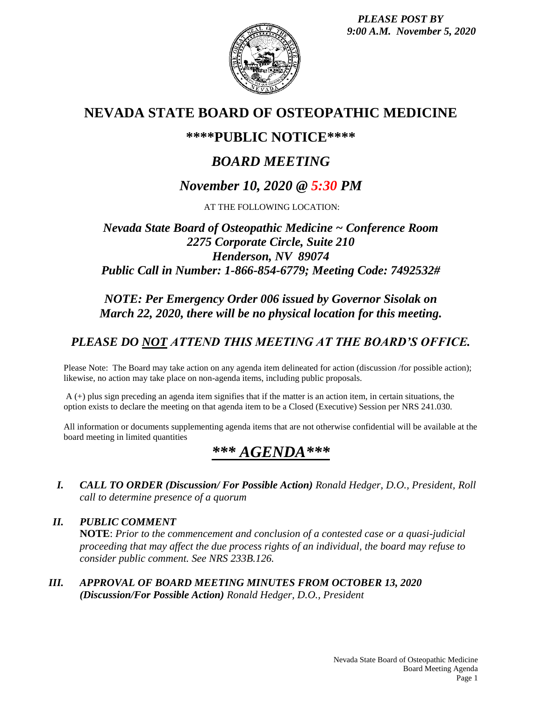*PLEASE POST BY 9:00 A.M. November 5, 2020*



## **NEVADA STATE BOARD OF OSTEOPATHIC MEDICINE**

### **\*\*\*\*PUBLIC NOTICE\*\*\*\***

## *BOARD MEETING*

## *November 10, 2020 @ 5:30 PM*

AT THE FOLLOWING LOCATION:

#### *Nevada State Board of Osteopathic Medicine ~ Conference Room 2275 Corporate Circle, Suite 210 Henderson, NV 89074 Public Call in Number: 1-866-854-6779; Meeting Code: 7492532#*

#### *NOTE: Per Emergency Order 006 issued by Governor Sisolak on March 22, 2020, there will be no physical location for this meeting.*

## *PLEASE DO NOT ATTEND THIS MEETING AT THE BOARD'S OFFICE.*

Please Note: The Board may take action on any agenda item delineated for action (discussion /for possible action); likewise, no action may take place on non-agenda items, including public proposals.

A (+) plus sign preceding an agenda item signifies that if the matter is an action item, in certain situations, the option exists to declare the meeting on that agenda item to be a Closed (Executive) Session per NRS 241.030.

All information or documents supplementing agenda items that are not otherwise confidential will be available at the board meeting in limited quantities

# *\*\*\* AGENDA\*\*\**

*I. CALL TO ORDER (Discussion/ For Possible Action) Ronald Hedger, D.O., President, Roll call to determine presence of a quorum*

*II. PUBLIC COMMENT* **NOTE**: *Prior to the commencement and conclusion of a contested case or a quasi-judicial proceeding that may affect the due process rights of an individual, the board may refuse to consider public comment. See NRS 233B.126.*

*III. APPROVAL OF BOARD MEETING MINUTES FROM OCTOBER 13, 2020 (Discussion/For Possible Action) Ronald Hedger, D.O., President*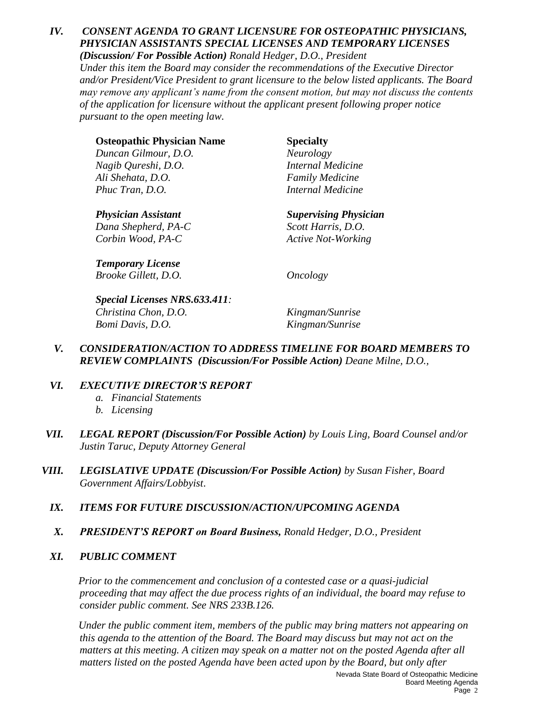#### *IV. CONSENT AGENDA TO GRANT LICENSURE FOR OSTEOPATHIC PHYSICIANS, PHYSICIAN ASSISTANTS SPECIAL LICENSES AND TEMPORARY LICENSES (Discussion/ For Possible Action) Ronald Hedger, D.O., President*

*Under this item the Board may consider the recommendations of the Executive Director and/or President/Vice President to grant licensure to the below listed applicants. The Board may remove any applicant's name from the consent motion, but may not discuss the contents of the application for licensure without the applicant present following proper notice pursuant to the open meeting law.*

| <b>Osteopathic Physician Name</b> | <b>Specialty</b>         |
|-----------------------------------|--------------------------|
| Duncan Gilmour, D.O.              | <b>Neurology</b>         |
| Nagib Qureshi, D.O.               | <b>Internal Medicine</b> |
| Ali Shehata, D.O.                 | <b>Family Medicine</b>   |
| Phuc Tran, D.O.                   | Internal Medicine        |
|                                   |                          |

*Physician Assistant Supervising Physician Dana Shepherd, PA-C Scott Harris, D.O. Corbin Wood, PA-C Active Not-Working*

*Temporary License Brooke Gillett, D.O. Oncology*

*Special Licenses NRS.633.411: Christina Chon, D.O. Kingman/Sunrise Bomi Davis, D.O. Kingman/Sunrise*

*V. CONSIDERATION/ACTION TO ADDRESS TIMELINE FOR BOARD MEMBERS TO REVIEW COMPLAINTS (Discussion/For Possible Action) Deane Milne, D.O.,* 

### *VI. EXECUTIVE DIRECTOR'S REPORT*

- *a. Financial Statements*
- *b. Licensing*
- *VII. LEGAL REPORT (Discussion/For Possible Action) by Louis Ling, Board Counsel and/or Justin Taruc, Deputy Attorney General*
- *VIII. LEGISLATIVE UPDATE (Discussion/For Possible Action) by Susan Fisher, Board Government Affairs/Lobbyist*.
	- *IX. ITEMS FOR FUTURE DISCUSSION/ACTION/UPCOMING AGENDA*
	- *X. PRESIDENT'S REPORT on Board Business, Ronald Hedger, D.O., President*
	- *XI. PUBLIC COMMENT*

*Prior to the commencement and conclusion of a contested case or a quasi-judicial proceeding that may affect the due process rights of an individual, the board may refuse to consider public comment. See NRS 233B.126.*

*Under the public comment item, members of the public may bring matters not appearing on this agenda to the attention of the Board. The Board may discuss but may not act on the matters at this meeting. A citizen may speak on a matter not on the posted Agenda after all matters listed on the posted Agenda have been acted upon by the Board, but only after*